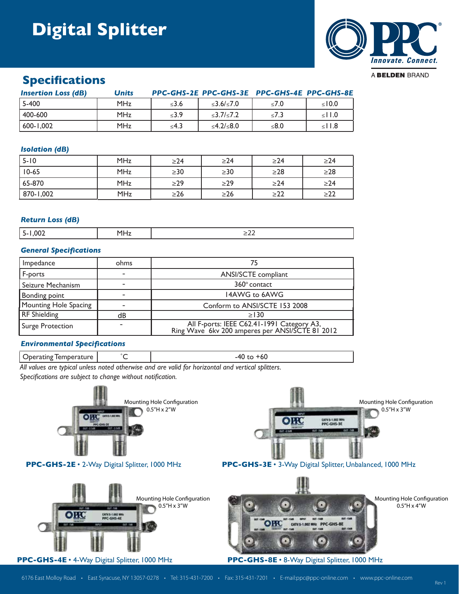# **Digital Splitter**



### **Specifications**

| <b>Insertion Loss (dB)</b> | <b>Units</b> |            | PPC-GHS-2E PPC-GHS-3E PPC-GHS-4E PPC-GHS-8E |            |             |
|----------------------------|--------------|------------|---------------------------------------------|------------|-------------|
| $15-400$                   | MHz          | ≤3.6       | $\leq 3.6 / \leq 7.0$                       | $\leq 7.0$ | $\leq 10.0$ |
| 400-600                    | MHz          | $\leq 3.9$ | $\leq$ 3.7/ $\leq$ 7.2                      | $\leq 7.3$ | $\leq$ 1.0  |
| 600-1.002                  | <b>MHz</b>   | ≤4.3       | ≤4.2/≤8.0                                   | ≤8.0       | $\leq$ 1.8  |

### *Isolation (dB)*

| $5 - 10$  | <b>MHz</b> | $\geq$ 24 | $\geq$ 24 | $\geq$ 24 | $\geq$ 24 |
|-----------|------------|-----------|-----------|-----------|-----------|
| $10-65$   | <b>MHz</b> | $\geq$ 30 | $\geq$ 30 | $\geq$ 28 | $\geq$ 28 |
| $65-870$  | <b>MHz</b> | $\geq$ 29 | $\geq$ 29 | $\geq$ 24 | $\geq$ 24 |
| 870-1,002 | <b>MHz</b> | $\geq$ 26 | $\geq$ 26 | $\geq$ 22 | >22       |

### *Return Loss (dB)*

| חר |  |
|----|--|
|    |  |

### *General Specifications*

| <b>Impedance</b>      | ohms | 75                                                                                            |
|-----------------------|------|-----------------------------------------------------------------------------------------------|
| F-ports               |      | <b>ANSI/SCTE</b> compliant                                                                    |
| Seizure Mechanism     |      | 360° contact                                                                                  |
| Bonding point         |      | 14AWG to 6AWG                                                                                 |
| Mounting Hole Spacing |      | Conform to ANSI/SCTE 153 2008                                                                 |
| <b>RF</b> Shielding   | dB   | >130                                                                                          |
| Surge Protection      |      | All F-ports: IEEE C62.41-1991 Category A3,<br>Ring Wave 6kv 200 amperes per ANSI/SCTE 81 2012 |

### *Environmental Specifications*

Operating Temperature  $\begin{vmatrix} 0 & 1 \\ 0 & 1 \end{vmatrix}$   $\begin{vmatrix} 0 & 0 \\ 0 & 1 \end{vmatrix}$  -40 to +60

*All values are typical unless noted otherwise and are valid for horizontal and vertical splitters.*

*Specifications are subject to change without notification.*

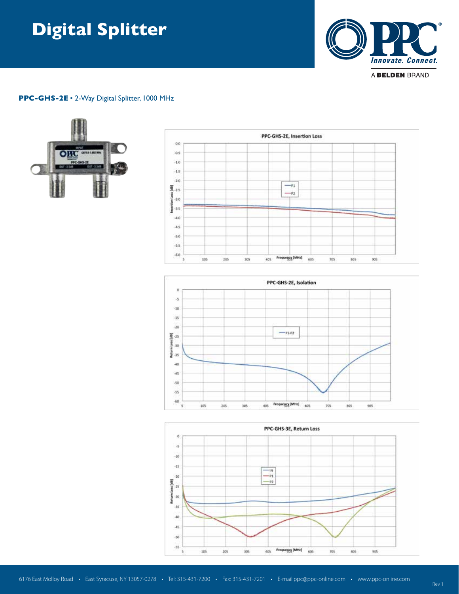# **Digital Splitter Digital Splitter**



#### **PPC-GHS-2E** • 2-Way Digital Splitter, 1000 MHz







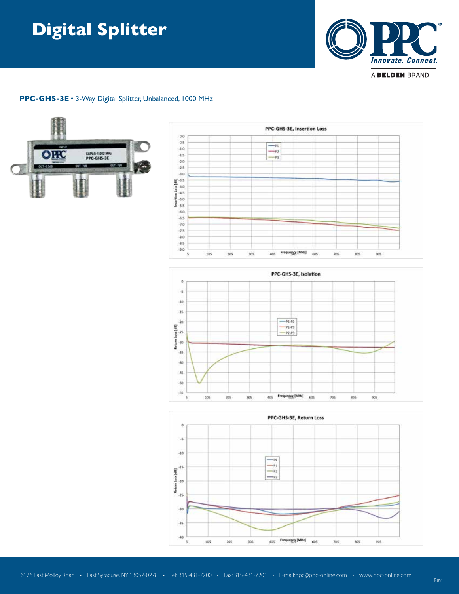# **Digital Splitter**



### **PPC-GHS-3E** • 3-Way Digital Splitter, Unbalanced, 1000 MHz